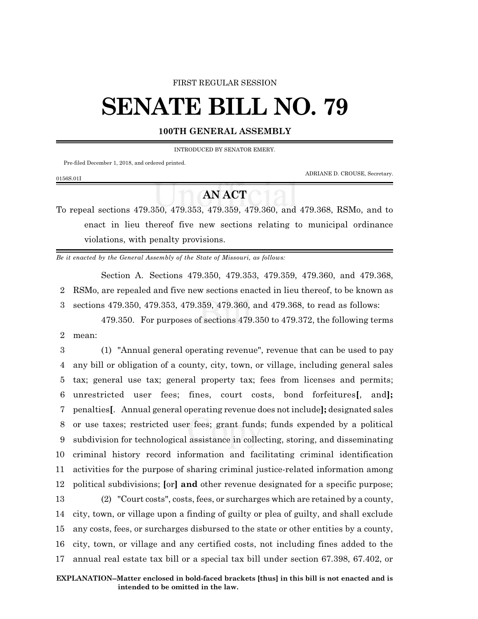#### FIRST REGULAR SESSION

# **SENATE BILL NO. 79**

### **100TH GENERAL ASSEMBLY**

INTRODUCED BY SENATOR EMERY.

Pre-filed December 1, 2018, and ordered printed.

ADRIANE D. CROUSE, Secretary.

### 0156S.01I

## **AN ACT**

To repeal sections 479.350, 479.353, 479.359, 479.360, and 479.368, RSMo, and to enact in lieu thereof five new sections relating to municipal ordinance violations, with penalty provisions.

*Be it enacted by the General Assembly of the State of Missouri, as follows:*

Section A. Sections 479.350, 479.353, 479.359, 479.360, and 479.368, 2 RSMo, are repealed and five new sections enacted in lieu thereof, to be known as 3 sections 479.350, 479.353, 479.359, 479.360, and 479.368, to read as follows:

479.350. For purposes of sections 479.350 to 479.372, the following terms 2 mean:

 (1) "Annual general operating revenue", revenue that can be used to pay any bill or obligation of a county, city, town, or village, including general sales tax; general use tax; general property tax; fees from licenses and permits; unrestricted user fees; fines, court costs, bond forfeitures**[**, and**];** penalties**[**. Annual general operating revenue does not include**];** designated sales or use taxes; restricted user fees; grant funds; funds expended by a political subdivision for technological assistance in collecting, storing, and disseminating criminal history record information and facilitating criminal identification activities for the purpose of sharing criminal justice-related information among political subdivisions; **[**or**] and** other revenue designated for a specific purpose; (2) "Court costs", costs, fees, or surcharges which are retained by a county,

 city, town, or village upon a finding of guilty or plea of guilty, and shall exclude any costs, fees, or surcharges disbursed to the state or other entities by a county, city, town, or village and any certified costs, not including fines added to the annual real estate tax bill or a special tax bill under section 67.398, 67.402, or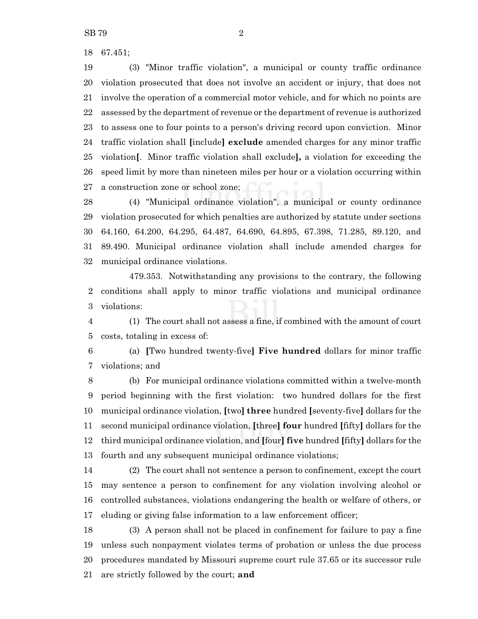SB 79 2

67.451;

 (3) "Minor traffic violation", a municipal or county traffic ordinance violation prosecuted that does not involve an accident or injury, that does not involve the operation of a commercial motor vehicle, and for which no points are assessed by the department of revenue or the department of revenue is authorized to assess one to four points to a person's driving record upon conviction. Minor traffic violation shall **[**include**] exclude** amended charges for any minor traffic violation**[**. Minor traffic violation shall exclude**],** a violation for exceeding the speed limit by more than nineteen miles per hour or a violation occurring within a construction zone or school zone;

 (4) "Municipal ordinance violation", a municipal or county ordinance violation prosecuted for which penalties are authorized by statute under sections 64.160, 64.200, 64.295, 64.487, 64.690, 64.895, 67.398, 71.285, 89.120, and 89.490. Municipal ordinance violation shall include amended charges for municipal ordinance violations.

479.353. Notwithstanding any provisions to the contrary, the following conditions shall apply to minor traffic violations and municipal ordinance violations:

 (1) The court shall not assess a fine, if combined with the amount of court costs, totaling in excess of:

 (a) **[**Two hundred twenty-five**] Five hundred** dollars for minor traffic violations; and

 (b) For municipal ordinance violations committed within a twelve-month period beginning with the first violation: two hundred dollars for the first municipal ordinance violation, **[**two**] three** hundred **[**seventy-five**]** dollars for the second municipal ordinance violation, **[**three**] four** hundred **[**fifty**]** dollars for the third municipal ordinance violation, and **[**four**] five** hundred **[**fifty**]** dollars for the fourth and any subsequent municipal ordinance violations;

 (2) The court shall not sentence a person to confinement, except the court may sentence a person to confinement for any violation involving alcohol or controlled substances, violations endangering the health or welfare of others, or eluding or giving false information to a law enforcement officer;

 (3) A person shall not be placed in confinement for failure to pay a fine unless such nonpayment violates terms of probation or unless the due process procedures mandated by Missouri supreme court rule 37.65 or its successor rule are strictly followed by the court; **and**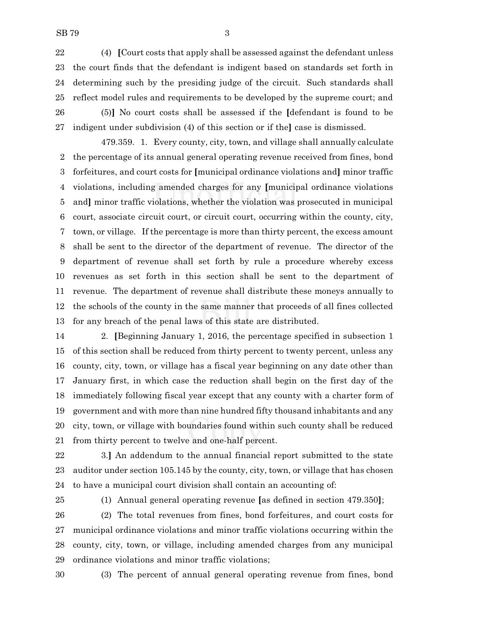(4) **[**Court costs that apply shall be assessed against the defendant unless the court finds that the defendant is indigent based on standards set forth in determining such by the presiding judge of the circuit. Such standards shall reflect model rules and requirements to be developed by the supreme court; and (5)**]** No court costs shall be assessed if the **[**defendant is found to be indigent under subdivision (4) of this section or if the**]** case is dismissed.

479.359. 1. Every county, city, town, and village shall annually calculate the percentage of its annual general operating revenue received from fines, bond forfeitures, and court costs for **[**municipal ordinance violations and**]** minor traffic violations, including amended charges for any **[**municipal ordinance violations and**]** minor traffic violations, whether the violation was prosecuted in municipal court, associate circuit court, or circuit court, occurring within the county, city, town, or village. If the percentage is more than thirty percent, the excess amount shall be sent to the director of the department of revenue. The director of the department of revenue shall set forth by rule a procedure whereby excess revenues as set forth in this section shall be sent to the department of revenue. The department of revenue shall distribute these moneys annually to the schools of the county in the same manner that proceeds of all fines collected for any breach of the penal laws of this state are distributed.

 2. **[**Beginning January 1, 2016, the percentage specified in subsection 1 of this section shall be reduced from thirty percent to twenty percent, unless any county, city, town, or village has a fiscal year beginning on any date other than January first, in which case the reduction shall begin on the first day of the immediately following fiscal year except that any county with a charter form of government and with more than nine hundred fifty thousand inhabitants and any city, town, or village with boundaries found within such county shall be reduced from thirty percent to twelve and one-half percent.

 3.**]** An addendum to the annual financial report submitted to the state auditor under section 105.145 by the county, city, town, or village that has chosen to have a municipal court division shall contain an accounting of:

(1) Annual general operating revenue **[**as defined in section 479.350**]**;

 (2) The total revenues from fines, bond forfeitures, and court costs for municipal ordinance violations and minor traffic violations occurring within the county, city, town, or village, including amended charges from any municipal ordinance violations and minor traffic violations;

(3) The percent of annual general operating revenue from fines, bond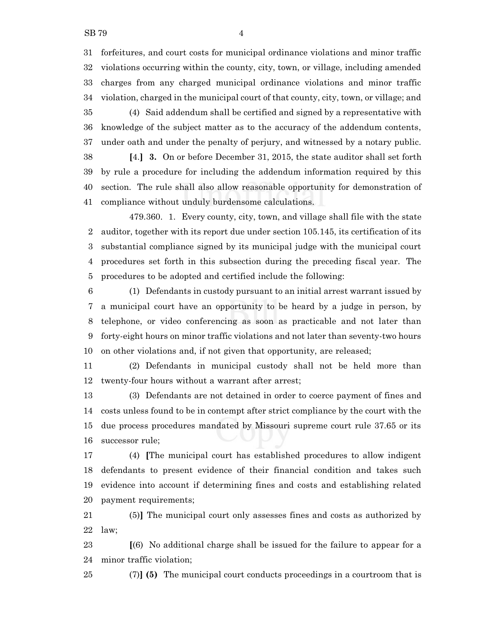forfeitures, and court costs for municipal ordinance violations and minor traffic violations occurring within the county, city, town, or village, including amended charges from any charged municipal ordinance violations and minor traffic violation, charged in the municipal court of that county, city, town, or village; and

 (4) Said addendum shall be certified and signed by a representative with knowledge of the subject matter as to the accuracy of the addendum contents, under oath and under the penalty of perjury, and witnessed by a notary public.

 **[**4.**] 3.** On or before December 31, 2015, the state auditor shall set forth by rule a procedure for including the addendum information required by this section. The rule shall also allow reasonable opportunity for demonstration of compliance without unduly burdensome calculations.

479.360. 1. Every county, city, town, and village shall file with the state auditor, together with its report due under section 105.145, its certification of its substantial compliance signed by its municipal judge with the municipal court procedures set forth in this subsection during the preceding fiscal year. The procedures to be adopted and certified include the following:

 (1) Defendants in custody pursuant to an initial arrest warrant issued by a municipal court have an opportunity to be heard by a judge in person, by telephone, or video conferencing as soon as practicable and not later than forty-eight hours on minor traffic violations and not later than seventy-two hours on other violations and, if not given that opportunity, are released;

 (2) Defendants in municipal custody shall not be held more than twenty-four hours without a warrant after arrest;

 (3) Defendants are not detained in order to coerce payment of fines and costs unless found to be in contempt after strict compliance by the court with the due process procedures mandated by Missouri supreme court rule 37.65 or its successor rule;

 (4) **[**The municipal court has established procedures to allow indigent defendants to present evidence of their financial condition and takes such evidence into account if determining fines and costs and establishing related payment requirements;

 (5)**]** The municipal court only assesses fines and costs as authorized by law;

 **[**(6) No additional charge shall be issued for the failure to appear for a minor traffic violation;

(7)**] (5)** The municipal court conducts proceedings in a courtroom that is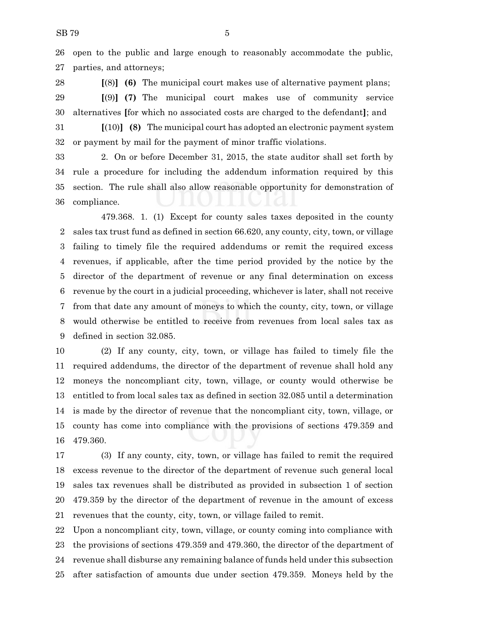open to the public and large enough to reasonably accommodate the public, parties, and attorneys;

 **[**(8)**] (6)** The municipal court makes use of alternative payment plans; **[**(9)**] (7)** The municipal court makes use of community service alternatives **[**for which no associated costs are charged to the defendant**]**; and

 **[**(10)**] (8)** The municipal court has adopted an electronic payment system or payment by mail for the payment of minor traffic violations.

 2. On or before December 31, 2015, the state auditor shall set forth by rule a procedure for including the addendum information required by this section. The rule shall also allow reasonable opportunity for demonstration of compliance.

479.368. 1. (1) Except for county sales taxes deposited in the county sales tax trust fund as defined in section 66.620, any county, city, town, or village failing to timely file the required addendums or remit the required excess revenues, if applicable, after the time period provided by the notice by the director of the department of revenue or any final determination on excess revenue by the court in a judicial proceeding, whichever is later, shall not receive from that date any amount of moneys to which the county, city, town, or village would otherwise be entitled to receive from revenues from local sales tax as defined in section 32.085.

 (2) If any county, city, town, or village has failed to timely file the required addendums, the director of the department of revenue shall hold any moneys the noncompliant city, town, village, or county would otherwise be entitled to from local sales tax as defined in section 32.085 until a determination is made by the director of revenue that the noncompliant city, town, village, or county has come into compliance with the provisions of sections 479.359 and 479.360.

 (3) If any county, city, town, or village has failed to remit the required excess revenue to the director of the department of revenue such general local sales tax revenues shall be distributed as provided in subsection 1 of section 479.359 by the director of the department of revenue in the amount of excess revenues that the county, city, town, or village failed to remit.

 Upon a noncompliant city, town, village, or county coming into compliance with the provisions of sections 479.359 and 479.360, the director of the department of revenue shall disburse any remaining balance of funds held under this subsection after satisfaction of amounts due under section 479.359. Moneys held by the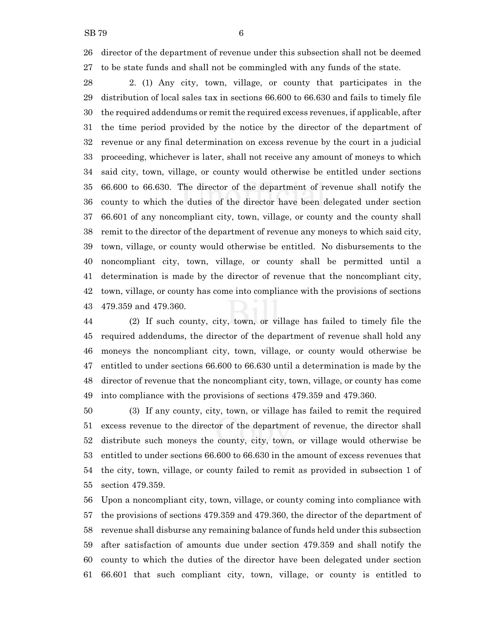director of the department of revenue under this subsection shall not be deemed to be state funds and shall not be commingled with any funds of the state.

 2. (1) Any city, town, village, or county that participates in the distribution of local sales tax in sections 66.600 to 66.630 and fails to timely file the required addendums or remit the required excess revenues, if applicable, after the time period provided by the notice by the director of the department of revenue or any final determination on excess revenue by the court in a judicial proceeding, whichever is later, shall not receive any amount of moneys to which said city, town, village, or county would otherwise be entitled under sections 66.600 to 66.630. The director of the department of revenue shall notify the county to which the duties of the director have been delegated under section 66.601 of any noncompliant city, town, village, or county and the county shall remit to the director of the department of revenue any moneys to which said city, town, village, or county would otherwise be entitled. No disbursements to the noncompliant city, town, village, or county shall be permitted until a determination is made by the director of revenue that the noncompliant city, town, village, or county has come into compliance with the provisions of sections 479.359 and 479.360.

 (2) If such county, city, town, or village has failed to timely file the required addendums, the director of the department of revenue shall hold any moneys the noncompliant city, town, village, or county would otherwise be entitled to under sections 66.600 to 66.630 until a determination is made by the director of revenue that the noncompliant city, town, village, or county has come into compliance with the provisions of sections 479.359 and 479.360.

 (3) If any county, city, town, or village has failed to remit the required excess revenue to the director of the department of revenue, the director shall distribute such moneys the county, city, town, or village would otherwise be entitled to under sections 66.600 to 66.630 in the amount of excess revenues that the city, town, village, or county failed to remit as provided in subsection 1 of section 479.359.

 Upon a noncompliant city, town, village, or county coming into compliance with the provisions of sections 479.359 and 479.360, the director of the department of revenue shall disburse any remaining balance of funds held under this subsection after satisfaction of amounts due under section 479.359 and shall notify the county to which the duties of the director have been delegated under section 66.601 that such compliant city, town, village, or county is entitled to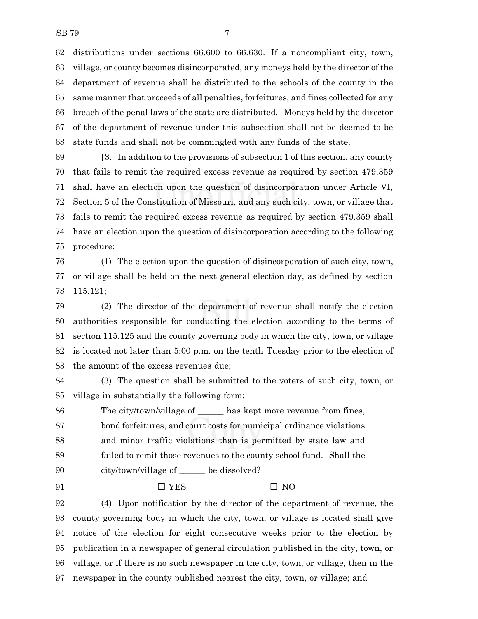distributions under sections 66.600 to 66.630. If a noncompliant city, town, village, or county becomes disincorporated, any moneys held by the director of the department of revenue shall be distributed to the schools of the county in the same manner that proceeds of all penalties, forfeitures, and fines collected for any breach of the penal laws of the state are distributed. Moneys held by the director of the department of revenue under this subsection shall not be deemed to be state funds and shall not be commingled with any funds of the state.

 **[**3. In addition to the provisions of subsection 1 of this section, any county that fails to remit the required excess revenue as required by section 479.359 shall have an election upon the question of disincorporation under Article VI, Section 5 of the Constitution of Missouri, and any such city, town, or village that fails to remit the required excess revenue as required by section 479.359 shall have an election upon the question of disincorporation according to the following procedure:

 (1) The election upon the question of disincorporation of such city, town, or village shall be held on the next general election day, as defined by section 115.121;

 (2) The director of the department of revenue shall notify the election authorities responsible for conducting the election according to the terms of section 115.125 and the county governing body in which the city, town, or village is located not later than 5:00 p.m. on the tenth Tuesday prior to the election of the amount of the excess revenues due;

 (3) The question shall be submitted to the voters of such city, town, or village in substantially the following form:

 The city/town/village of \_\_\_\_\_\_ has kept more revenue from fines, bond forfeitures, and court costs for municipal ordinance violations and minor traffic violations than is permitted by state law and failed to remit those revenues to the county school fund. Shall the city/town/village of \_\_\_\_\_\_ be dissolved?

91  $\Box$  YES  $\Box$  NO

 (4) Upon notification by the director of the department of revenue, the county governing body in which the city, town, or village is located shall give notice of the election for eight consecutive weeks prior to the election by publication in a newspaper of general circulation published in the city, town, or village, or if there is no such newspaper in the city, town, or village, then in the newspaper in the county published nearest the city, town, or village; and